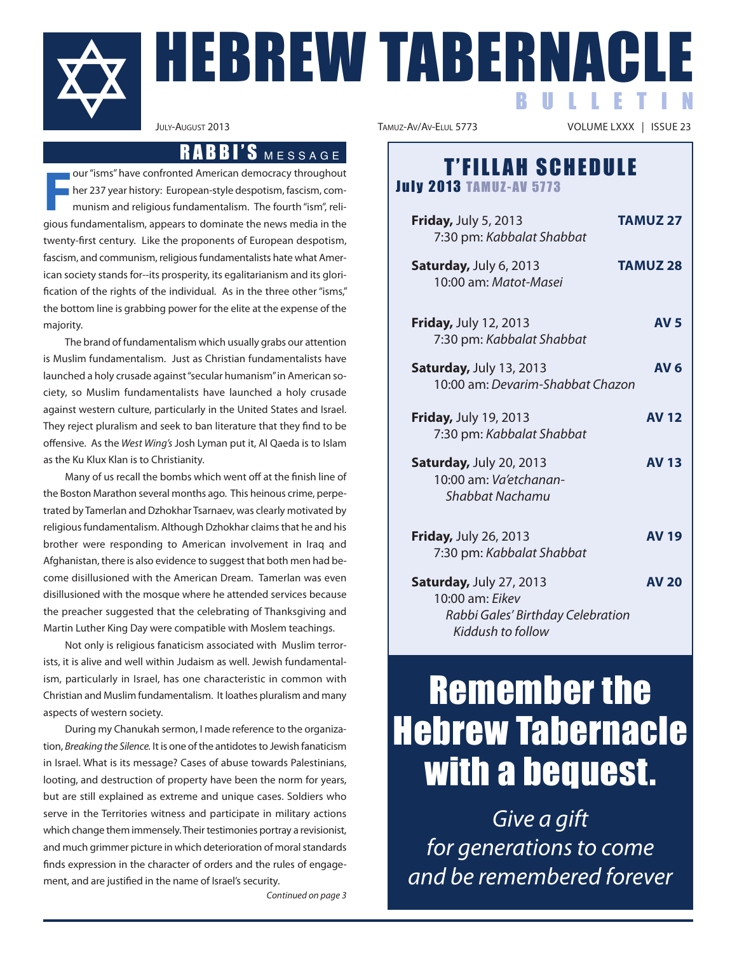

# HEBREW TABERNACLE B U L L E T I N

**F** our "isms" have confronted American democracy throughout her 237 year history: European-style despotism, fascism, communism and religious fundamentalism. The fourth "ism", religious fundamentalism, appears to dominate the news media in the twenty-first century. Like the proponents of European despotism, fascism, and communism, religious fundamentalists hate what American society stands for--its prosperity, its egalitarianism and its glorification of the rights of the individual. As in the three other "isms," the bottom line is grabbing power for the elite at the expense of the majority.

The brand of fundamentalism which usually grabs our attention is Muslim fundamentalism. Just as Christian fundamentalists have launched a holy crusade against"secular humanism"in American society, so Muslim fundamentalists have launched a holy crusade against western culture, particularly in the United States and Israel. They reject pluralism and seek to ban literature that they find to be offensive. As the West Wing's Josh Lyman put it, Al Qaeda is to Islam as the Ku Klux Klan is to Christianity.

Many of us recall the bombs which went off at the finish line of the Boston Marathon several months ago. This heinous crime, perpetrated by Tamerlan and Dzhokhar Tsarnaev, was clearly motivated by religious fundamentalism. Although Dzhokhar claims that he and his brother were responding to American involvement in Iraq and Afghanistan, there is also evidence to suggest that both men had become disillusioned with the American Dream. Tamerlan was even disillusioned with the mosque where he attended services because the preacher suggested that the celebrating of Thanksgiving and Martin Luther King Day were compatible with Moslem teachings.

Not only is religious fanaticism associated with Muslim terrorists, it is alive and well within Judaism as well. Jewish fundamentalism, particularly in Israel, has one characteristic in common with Christian and Muslim fundamentalism. It loathes pluralism and many aspects of western society.

During my Chanukah sermon, I made reference to the organization, Breaking the Silence. It is one of the antidotes to Jewish fanaticism in Israel. What is its message? Cases of abuse towards Palestinians, looting, and destruction of property have been the norm for years, but are still explained as extreme and unique cases. Soldiers who serve in the Territories witness and participate in military actions which change them immensely. Their testimonies portray a revisionist, and much grimmer picture in which deterioration of moral standards finds expression in the character of orders and the rules of engagement, and are justified in the name of Israel's security.

Continued on page 3

VOLUME LXXX | ISSUE 23

## RABBI'S MESSAGE<br>ted American democracy throughout<br>
T'FILLAH SCHEDULE **July 2013 TAMUZ-AV 5773**

**Friday,** July 5, 2013 **TAMUZ 27** 7:30 pm: Kabbalat Shabbat **Saturday,** July 6, 2013 **TAMUZ 28** 10:00 am: Matot-Masei **Friday,** July 12, 2013 **AV 5** 7:30 pm: Kabbalat Shabbat **Saturday,** July 13, 2013 **AV 6** 10:00 am: Devarim-Shabbat Chazon **Friday,** July 19, 2013 **AV 12** 7:30 pm: Kabbalat Shabbat **Saturday,** July 20, 2013 **AV 13** 10:00 am: Va'etchanan-Shabbat Nachamu **Friday,** July 26, 2013 **AV 19** 7:30 pm: Kabbalat Shabbat **Saturday,** July 27, 2013 **AV 20** 10:00 am: Eikev Rabbi Gales' Birthday Celebration Kiddush to follow

# Remember the Hebrew Tabernacle with a bequest.

Give a gift for generations to come and be remembered forever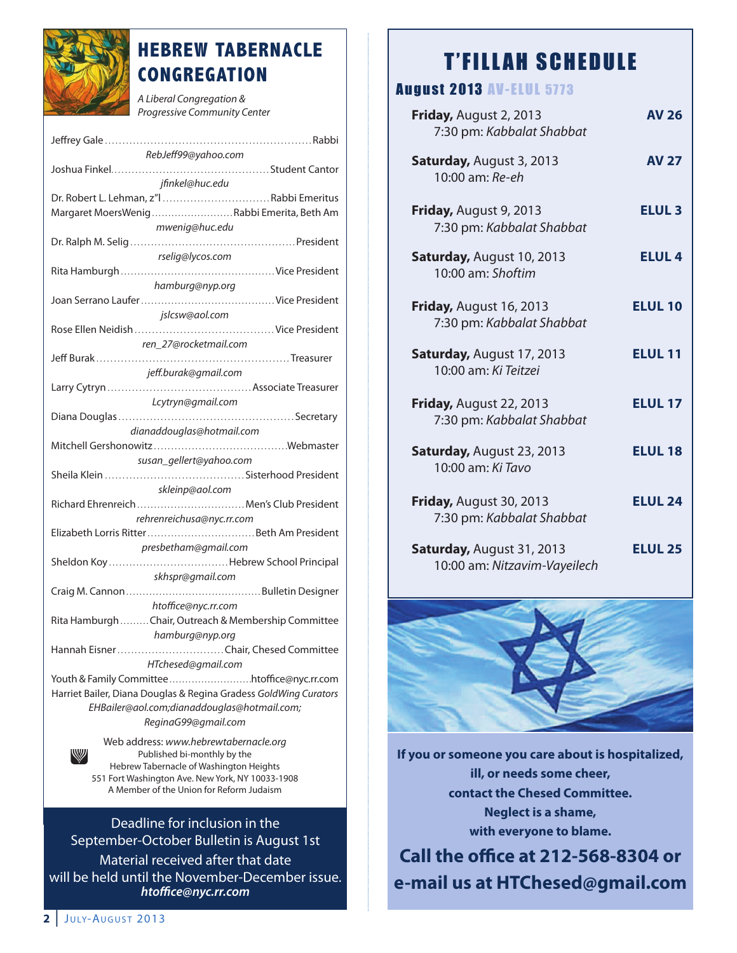

## **HEBREW TABERNACLE CONGREGATION**

A Liberal Congregation & Progressive Community Center

| RebJeff99@yahoo.com                                              |
|------------------------------------------------------------------|
|                                                                  |
| jfinkel@huc.edu                                                  |
| Dr. Robert L. Lehman, z"l Rabbi Emeritus                         |
| Margaret MoersWenigRabbi Emerita, Beth Am                        |
|                                                                  |
| mwenig@huc.edu                                                   |
|                                                                  |
| rselig@lycos.com                                                 |
|                                                                  |
| hamburg@nyp.org                                                  |
|                                                                  |
| jslcsw@aol.com                                                   |
|                                                                  |
|                                                                  |
| ren_27@rocketmail.com                                            |
|                                                                  |
| jeff.burak@gmail.com                                             |
|                                                                  |
| Lcytryn@gmail.com                                                |
|                                                                  |
| dianaddouglas@hotmail.com                                        |
|                                                                  |
|                                                                  |
| susan_gellert@yahoo.com                                          |
|                                                                  |
| skleinp@aol.com                                                  |
| Richard Ehrenreich  Men's Club President                         |
| rehrenreichusa@nyc.rr.com                                        |
|                                                                  |
| presbetham@gmail.com                                             |
|                                                                  |
|                                                                  |
| skhspr@gmail.com                                                 |
|                                                                  |
| htoffice@nyc.rr.com                                              |
| Rita Hamburgh Chair, Outreach & Membership Committee             |
| hamburg@nyp.org                                                  |
| Hannah EisnerChair, Chesed Committee                             |
| HTchesed@gmail.com                                               |
|                                                                  |
| Youth & Family Committeehtoffice@nyc.rr.com                      |
| Harriet Bailer, Diana Douglas & Regina Gradess GoldWing Curators |
| EHBailer@aol.com;dianaddouglas@hotmail.com;                      |
| ReginaG99@gmail.com                                              |
| Web address: www.hebrewtabernacle.org                            |
| W<br>Published bi-monthly by the                                 |
|                                                                  |

lished bi-monthly by the Hebrew Tabernacle of Washington Heights 551 Fort Washington Ave. New York, NY 10033-1908 A Member of the Union for Reform Judaism

Deadline for inclusion in the September-October Bulletin is August 1st Material received after that date will be held until the November-December issue. *htoce@nyc.rr.com*

## **T'FILLAH SCHEDULE**

### **August 2013 AV-ELUL 5773**

| Friday, August 2, 2013<br>7:30 pm: Kabbalat Shabbat              | <b>AV 26</b>   |
|------------------------------------------------------------------|----------------|
| <b>Saturday, August 3, 2013</b><br>10:00 am: Re-eh               | <b>AV 27</b>   |
| Friday, August 9, 2013<br>7:30 pm: Kabbalat Shabbat              | <b>ELUL 3</b>  |
| <b>Saturday, August 10, 2013</b><br>10:00 am: Shoftim            | <b>ELUL 4</b>  |
| Friday, August 16, 2013<br>7:30 pm: Kabbalat Shabbat             | <b>ELUL 10</b> |
| Saturday, August 17, 2013<br>10:00 am: Ki Teitzei                | <b>ELUL 11</b> |
| Friday, August 22, 2013<br>7:30 pm: Kabbalat Shabbat             | <b>ELUL 17</b> |
| Saturday, August 23, 2013<br>10:00 am: Ki Tavo                   | <b>ELUL 18</b> |
| Friday, August 30, 2013<br>7:30 pm: Kabbalat Shabbat             | <b>ELUL 24</b> |
| <b>Saturday, August 31, 2013</b><br>10:00 am: Nitzavim-Vayeilech | <b>ELUL 25</b> |



**If you or someone you care about is hospitalized, ill, or needs some cheer, contact the Chesed Committee. Neglect is a shame, with everyone to blame.**

**Call the office at 212-568-8304 or e-mail us at HTChesed@gmail.com**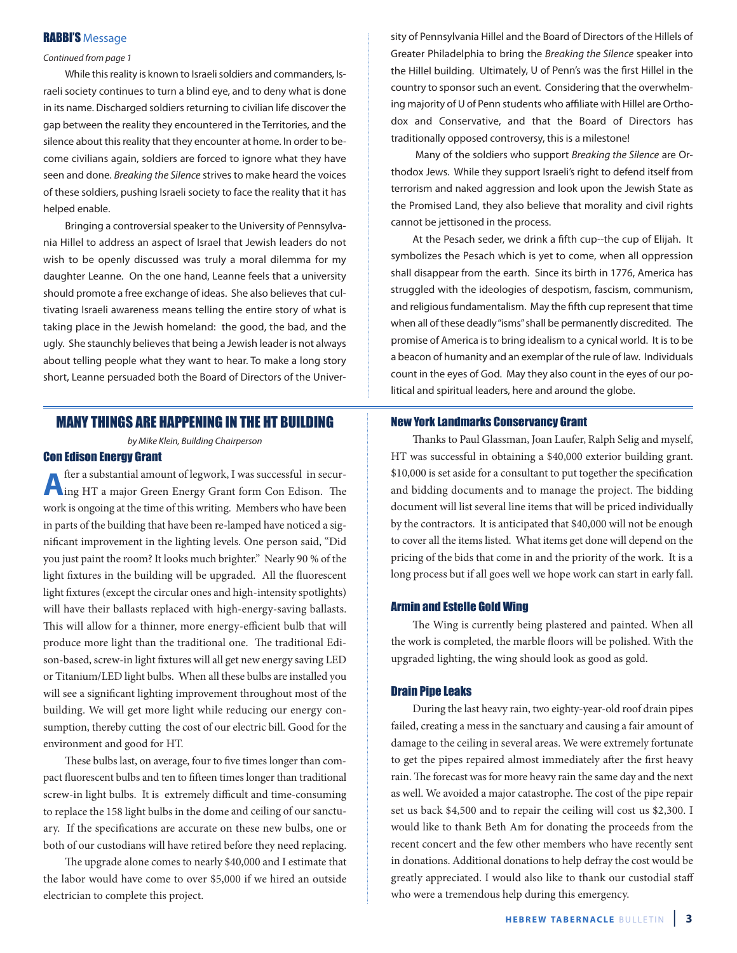#### **RABBI'S Message**

#### Continued from page 1

While this reality is known to Israeli soldiers and commanders, Israeli society continues to turn a blind eye, and to deny what is done in its name. Discharged soldiers returning to civilian life discover the gap between the reality they encountered in the Territories, and the silence about this reality that they encounter at home. In order to become civilians again, soldiers are forced to ignore what they have seen and done. Breaking the Silence strives to make heard the voices of these soldiers, pushing Israeli society to face the reality that it has helped enable.

Bringing a controversial speaker to the University of Pennsylvania Hillel to address an aspect of Israel that Jewish leaders do not wish to be openly discussed was truly a moral dilemma for my daughter Leanne. On the one hand, Leanne feels that a university should promote a free exchange of ideas. She also believes that cultivating Israeli awareness means telling the entire story of what is taking place in the Jewish homeland: the good, the bad, and the ugly. She staunchly believes that being a Jewish leader is not always about telling people what they want to hear. To make a long story short, Leanne persuaded both the Board of Directors of the Univer-

#### MANY THINGS ARE HAPPENING IN THE HT BUILDING

by Mike Klein, Building Chairperson

#### Con Edison Energy Grant

**A** fter a substantial amount of legwork, I was successful in secur-<br>ing HT a major Green Energy Grant form Con Edison. The work is ongoing at the time of this writing. Members who have been in parts of the building that have been re-lamped have noticed a significant improvement in the lighting levels. One person said, "Did you just paint the room? It looks much brighter." Nearly 90 % of the light fixtures in the building will be upgraded. All the fluorescent light fixtures (except the circular ones and high-intensity spotlights) will have their ballasts replaced with high-energy-saving ballasts. This will allow for a thinner, more energy-efficient bulb that will produce more light than the traditional one. The traditional Edison-based, screw-in light fixtures will all get new energy saving LED or Titanium/LED light bulbs. When all these bulbs are installed you will see a significant lighting improvement throughout most of the building. We will get more light while reducing our energy consumption, thereby cutting the cost of our electric bill. Good for the environment and good for HT.

These bulbs last, on average, four to five times longer than compact fluorescent bulbs and ten to fifteen times longer than traditional screw-in light bulbs. It is extremely difficult and time-consuming to replace the 158 light bulbs in the dome and ceiling of our sanctuary. If the specifications are accurate on these new bulbs, one or both of our custodians will have retired before they need replacing.

The upgrade alone comes to nearly \$40,000 and I estimate that the labor would have come to over \$5,000 if we hired an outside electrician to complete this project.

sity of Pennsylvania Hillel and the Board of Directors of the Hillels of Greater Philadelphia to bring the Breaking the Silence speaker into the Hillel building. Ultimately, U of Penn's was the first Hillel in the country to sponsor such an event. Considering that the overwhelming majority of U of Penn students who affiliate with Hillel are Orthodox and Conservative, and that the Board of Directors has traditionally opposed controversy, this is a milestone!

Many of the soldiers who support Breaking the Silence are Orthodox Jews. While they support Israeli's right to defend itself from terrorism and naked aggression and look upon the Jewish State as the Promised Land, they also believe that morality and civil rights cannot be jettisoned in the process.

At the Pesach seder, we drink a fifth cup--the cup of Elijah. It symbolizes the Pesach which is yet to come, when all oppression shall disappear from the earth. Since its birth in 1776, America has struggled with the ideologies of despotism, fascism, communism, and religious fundamentalism. May the fifth cup represent that time when all of these deadly"isms"shall be permanently discredited. The promise of America is to bring idealism to a cynical world. It is to be a beacon of humanity and an exemplar of the rule of law. Individuals count in the eyes of God. May they also count in the eyes of our political and spiritual leaders, here and around the globe.

#### New York Landmarks Conservancy Grant

Thanks to Paul Glassman, Joan Laufer, Ralph Selig and myself, HT was successful in obtaining a \$40,000 exterior building grant. \$10,000 is set aside for a consultant to put together the specification and bidding documents and to manage the project. The bidding document will list several line items that will be priced individually by the contractors. It is anticipated that \$40,000 will not be enough to cover all the items listed. What items get done will depend on the pricing of the bids that come in and the priority of the work. It is a long process but if all goes well we hope work can start in early fall.

#### Armin and Estelle Gold Wing

The Wing is currently being plastered and painted. When all the work is completed, the marble floors will be polished. With the upgraded lighting, the wing should look as good as gold.

#### Drain Pipe Leaks

During the last heavy rain, two eighty-year-old roof drain pipes failed, creating a mess in the sanctuary and causing a fair amount of damage to the ceiling in several areas. We were extremely fortunate to get the pipes repaired almost immediately after the first heavy rain. The forecast was for more heavy rain the same day and the next as well. We avoided a major catastrophe. The cost of the pipe repair set us back \$4,500 and to repair the ceiling will cost us \$2,300. I would like to thank Beth Am for donating the proceeds from the recent concert and the few other members who have recently sent in donations. Additional donations to help defray the cost would be greatly appreciated. I would also like to thank our custodial staff who were a tremendous help during this emergency.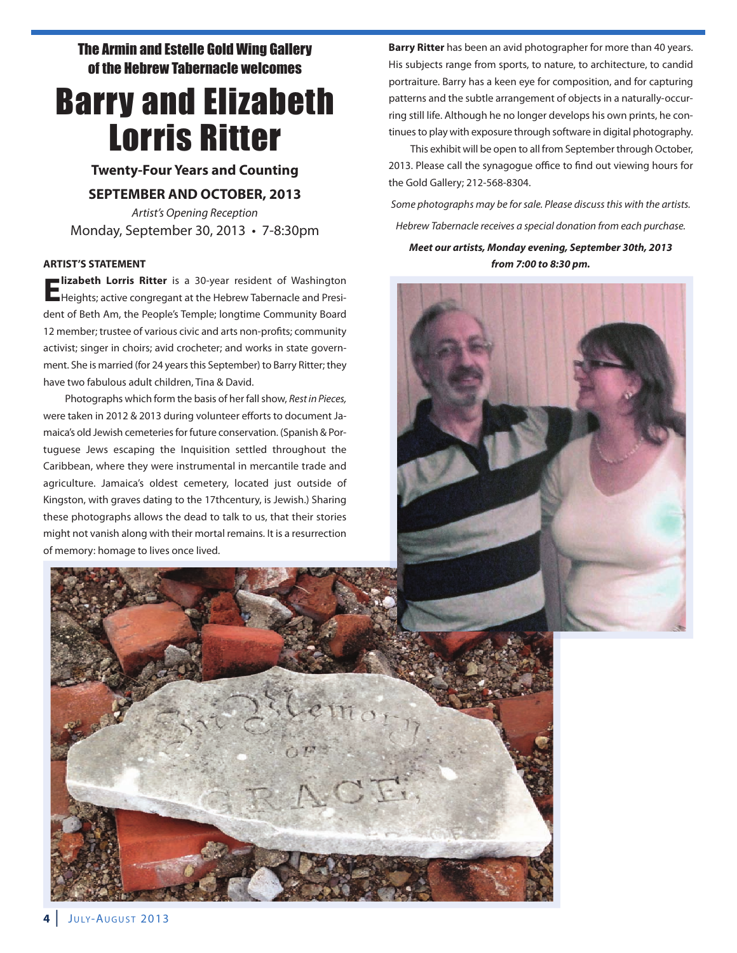The Armin and Estelle Gold Wing Gallery of the Hebrew Tabernacle welcomes

## Barry and Elizabeth Lorris Ritter

**Twenty-Four Years and Counting**

#### **SEPTEMBER AND OCTOBER, 2013**

Artist's Opening Reception Monday, September 30, 2013 • 7-8:30pm

#### **ARTIST'S STATEMENT**

**Elizabeth Lorris Ritter** is a 30-year resident of Washington Heights; active congregant at the Hebrew Tabernacle and President of Beth Am, the People's Temple; longtime Community Board 12 member; trustee of various civic and arts non-profits; community activist; singer in choirs; avid crocheter; and works in state government. She is married (for 24 years this September) to Barry Ritter; they have two fabulous adult children, Tina & David.

Photographs which form the basis of her fall show, Rest in Pieces, were taken in 2012 & 2013 during volunteer efforts to document Jamaica's old Jewish cemeteries for future conservation. (Spanish & Portuguese Jews escaping the Inquisition settled throughout the Caribbean, where they were instrumental in mercantile trade and agriculture. Jamaica's oldest cemetery, located just outside of Kingston, with graves dating to the 17thcentury, is Jewish.) Sharing these photographs allows the dead to talk to us, that their stories might not vanish along with their mortal remains. It is a resurrection of memory: homage to lives once lived.

**Barry Ritter** has been an avid photographer for more than 40 years. His subjects range from sports, to nature, to architecture, to candid portraiture. Barry has a keen eye for composition, and for capturing patterns and the subtle arrangement of objects in a naturally-occurring still life. Although he no longer develops his own prints, he continues to play with exposure through software in digital photography.

This exhibit will be open to all from September through October, 2013. Please call the synagogue office to find out viewing hours for the Gold Gallery; 212-568-8304.

Some photographs may be for sale. Please discuss this with the artists. Hebrew Tabernacle receives a special donation from each purchase.

*Meet our artists, Monday evening, September 30th, 2013 from 7:00 to 8:30 pm.*



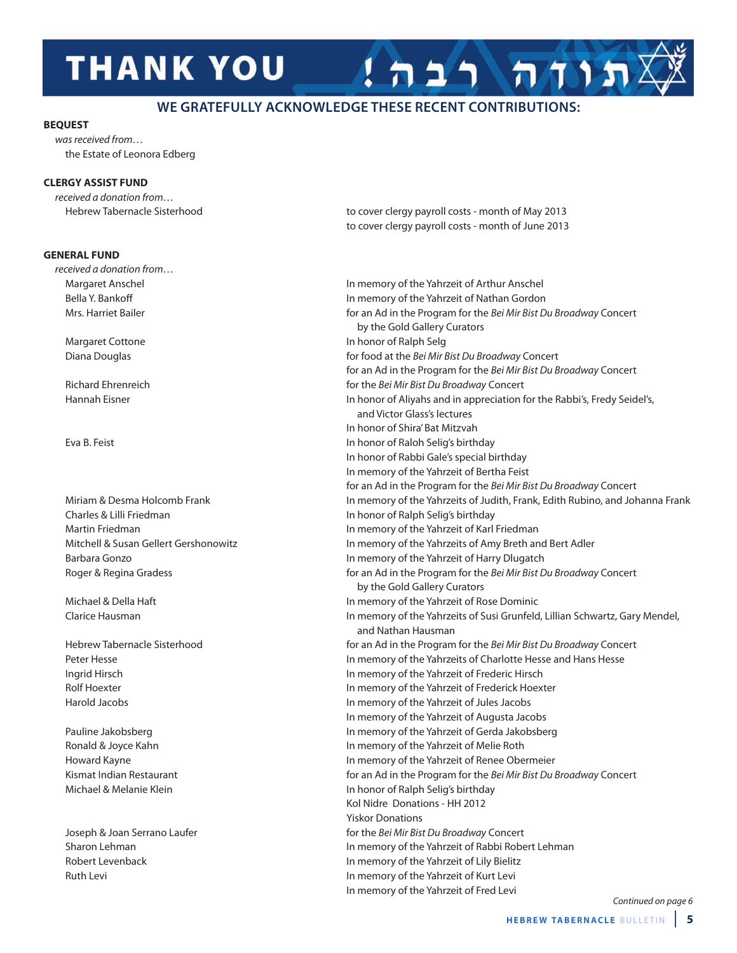## **THANK YOU**

### **WE GRATEFULLY ACKNOWLEDGE THESE RECENT CONTRIBUTIONS:**

#### **BEQUEST**

was received from… the Estate of Leonora Edberg

#### **CLERGY ASSIST FUND**

received a donation from…

#### **GENERAL FUND**

received a donation from…

Charles & Lilli Friedman **In honor of Ralph Selig's birthday** 

Hebrew Tabernacle Sisterhood **to cover clergy payroll costs - month of May 2013** to cover clergy payroll costs - month of June 2013

תוחה רבה

Margaret Anschel In memory of the Yahrzeit of Arthur Anschel Bella Y. Bankoff **Example 20 In memory of the Yahrzeit of Nathan Gordon** Mrs. Harriet Bailer for an Ad in the Program for the Bei Mir Bist Du Broadway Concert by the Gold Gallery Curators Margaret Cottone **In honor of Ralph Selg** Diana Douglas for food at the Bei Mir Bist Du Broadway Concert for an Ad in the Program for the Bei Mir Bist Du Broadway Concert Richard Ehrenreich **for the Bei Mir Bist Du Broadway Concert** Hannah Eisner **In honor of Aliyahs and in appreciation for the Rabbi's**, Fredy Seidel's, and Victor Glass's lectures In honor of Shira' Bat Mitzvah Eva B. Feist In honor of Raloh Selig's birthday In honor of Rabbi Gale's special birthday In memory of the Yahrzeit of Bertha Feist for an Ad in the Program for the Bei Mir Bist Du Broadway Concert Miriam & Desma Holcomb Frank In Miriam in memory of the Yahrzeits of Judith, Frank, Edith Rubino, and Johanna Frank Martin Friedman In memory of the Yahrzeit of Karl Friedman Mitchell & Susan Gellert Gershonowitz In memory of the Yahrzeits of Amy Breth and Bert Adler Barbara Gonzo **In memory of the Yahrzeit of Harry Dlugatch In memory of the Yahrzeit of Harry Dlugatch** Roger & Regina Gradess **for an Ad in the Program for the Bei Mir Bist Du Broadway Concert** by the Gold Gallery Curators Michael & Della Haft In memory of the Yahrzeit of Rose Dominic Clarice Hausman In memory of the Yahrzeits of Susi Grunfeld, Lillian Schwartz, Gary Mendel, and Nathan Hausman Hebrew Tabernacle Sisterhood **for an Ad in the Program for the Bei Mir Bist Du Broadway Concert** Peter Hesse **In memory of the Yahrzeits of Charlotte Hesse and Hans Hesse** Ingrid Hirsch In memory of the Yahrzeit of Frederic Hirsch Rolf Hoexter **In memory of the Yahrzeit of Frederick Hoexter** In memory of the Yahrzeit of Frederick Hoexter Harold Jacobs In memory of the Yahrzeit of Jules Jacobs In memory of the Yahrzeit of Augusta Jacobs Pauline Jakobsberg **In memory of the Yahrzeit of Gerda Jakobsberg** In memory of the Yahrzeit of Gerda Jakobsberg Ronald & Joyce Kahn **In memory of the Yahrzeit of Melie Roth** In memory of the Yahrzeit of Melie Roth Howard Kayne **In memory of the Yahrzeit of Renee Obermeier** In memory of the Yahrzeit of Renee Obermeier Kismat Indian Restaurant for an Ad in the Program for the Bei Mir Bist Du Broadway Concert Michael & Melanie Klein In honor of Ralph Selig's birthday Kol Nidre Donations - HH 2012 Yiskor Donations Joseph & Joan Serrano Laufer for the Bei Mir Bist Du Broadway Concert Sharon Lehman **In memory of the Yahrzeit of Rabbi Robert Lehman** In memory of the Yahrzeit of Rabbi Robert Lehman Robert Levenback **In memory of the Yahrzeit of Lily Bielitz** Ruth Levi **In memory of the Yahrzeit of Kurt Levi In memory of the Yahrzeit of Kurt Levi** In memory of the Yahrzeit of Fred Levi

Continued on page 6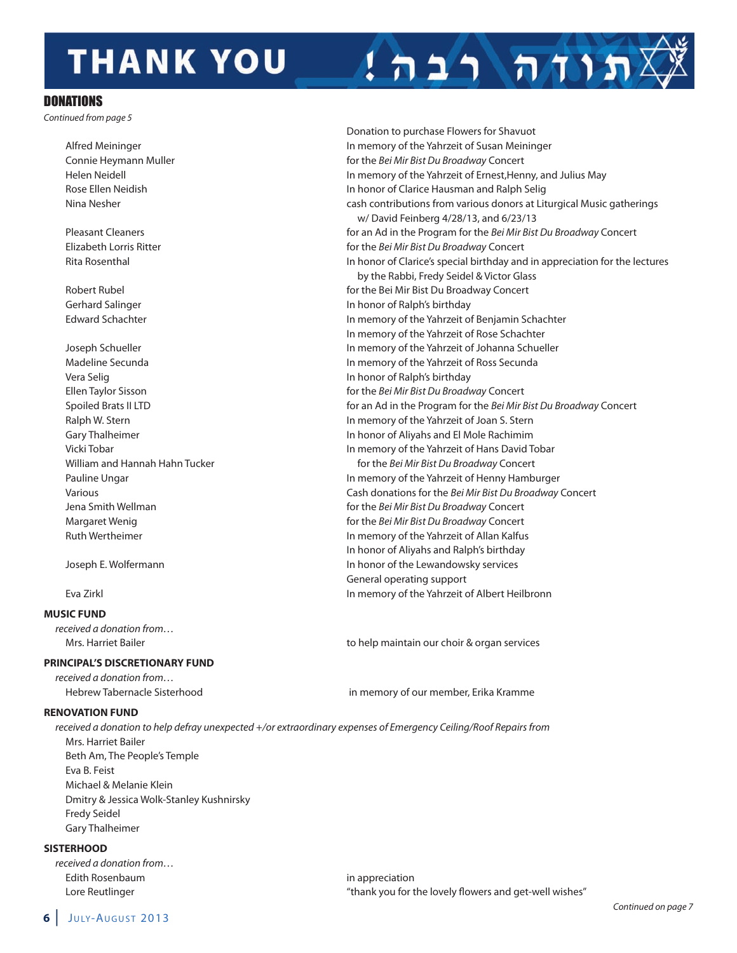# **THANK YOU**

#### **DONATIONS**

Continued from page 5

Vera Selig In honor of Ralph's birthday

#### **MUSIC FUND**

received a donation from…

#### **PRINCIPAL'S DISCRETIONARY FUND**

received a donation from… Hebrew Tabernacle Sisterhood in memory of our member, Erika Kramme

#### **RENOVATION FUND**

received a donation to help defray unexpected +/or extraordinary expenses of Emergency Ceiling/Roof Repairs from Mrs. Harriet Bailer Beth Am, The People's Temple Eva B. Feist Michael & Melanie Klein Dmitry & Jessica Wolk-Stanley Kushnirsky Fredy Seidel Gary Thalheimer

#### **SISTERHOOD**

received a donation from… Edith Rosenbaum in appreciation

Donation to purchase Flowers for Shavuot Alfred Meininger **In memory of the Yahrzeit of Susan Meininger** In memory of the Yahrzeit of Susan Meininger Connie Heymann Muller for the Bei Mir Bist Du Broadway Concert Helen Neidell In memory of the Yahrzeit of Ernest,Henny, and Julius May Rose Ellen Neidish In honor of Clarice Hausman and Ralph Selig Nina Nesher cash contributions from various donors at Liturgical Music gatherings w/ David Feinberg 4/28/13, and 6/23/13 Pleasant Cleaners **For an Ad in the Program for the Bei Mir Bist Du Broadway Concert** Elizabeth Lorris Ritter for the Bei Mir Bist Du Broadway Concert Rita Rosenthal In honor of Clarice's special birthday and in appreciation for the lectures by the Rabbi, Fredy Seidel & Victor Glass Robert Rubel **For the Bei Mir Bist Du Broadway Concert** For the Bei Mir Bist Du Broadway Concert Gerhard Salinger **In the Salinger** In honor of Ralph's birthday Edward Schachter In memory of the Yahrzeit of Benjamin Schachter In memory of the Yahrzeit of Rose Schachter Joseph Schueller In memory of the Yahrzeit of Johanna Schueller Madeline Secunda **In memory of the Yahrzeit of Ross Secunda** In memory of the Yahrzeit of Ross Secunda Ellen Taylor Sisson **Figure 1** and the Bei Mir Bist Du Broadway Concert Spoiled Brats II LTD **for an Ad in the Program for the Bei Mir Bist Du Broadway Concert** Ralph W. Stern **In memory of the Yahrzeit of Joan S. Stern** In memory of the Yahrzeit of Joan S. Stern Gary Thalheimer **In the United States and El Mole Rachimim In honor of Aliyahs and El Mole Rachimim** Vicki Tobar In memory of the Yahrzeit of Hans David Tobar William and Hannah Hahn Tucker for the Bei Mir Bist Du Broadway Concert Pauline Ungar **In memory of the Yahrzeit of Henny Hamburger** In memory of the Yahrzeit of Henny Hamburger Various **Various** Cash donations for the Bei Mir Bist Du Broadway Concert Jena Smith Wellman for the Bei Mir Bist Du Broadway Concert Margaret Wenig for the Bei Mir Bist Du Broadway Concert Ruth Wertheimer **In memory of the Yahrzeit of Allan Kalfus** In honor of Aliyahs and Ralph's birthday Joseph E. Wolfermann **In honor of the Lewandowsky services** and the Lewandowsky services

תוח רבה

General operating support Eva Zirkl In memory of the Yahrzeit of Albert Heilbronn

Mrs. Harriet Bailer to help maintain our choir & organ services

Lore Reutlinger Tower Tower (1990) with the lovely flowers and get-well wishes" (1990) Lore Reutlinger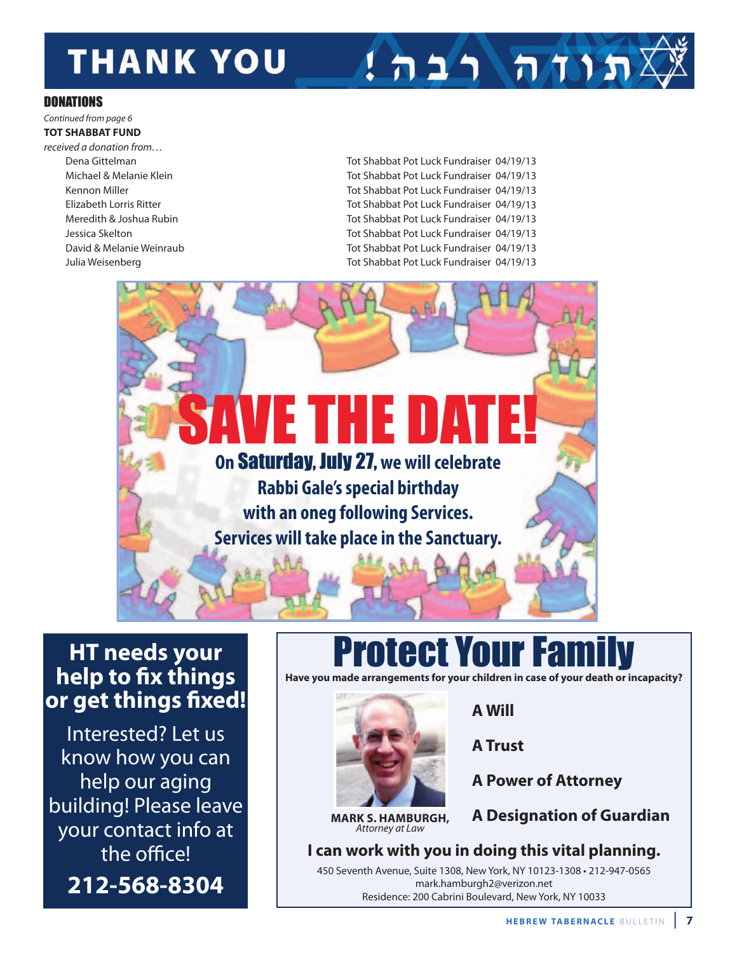# **THANK YOU**

# $1$ הות רבה!

### **DONATIONS**

### Continued from page 6

**TOT SHABBAT FUND**

received a donation from…

Dena Gittelman Tot Shabbat Pot Luck Fundraiser 04/19/13 Michael & Melanie Klein Tot Shabbat Pot Luck Fundraiser 04/19/13 Kennon Miller **Tot Shabbat Pot Luck Fundraiser 04/19/13** Elizabeth Lorris Ritter Tot Shabbat Pot Luck Fundraiser 04/19/13 Meredith & Joshua Rubin **The Communist Communist Communist Pot Luck Fundraiser 04/19/13** Jessica Skelton Tot Shabbat Pot Luck Fundraiser 04/19/13 David & Melanie Weinraub Tot Shabbat Pot Luck Fundraiser 04/19/13 Julia Weisenberg Tot Shabbat Pot Luck Fundraiser 04/19/13



## **HT needs your help to Gx things or get things Gxed!**

Interested? Let us know how you can help our aging building! Please leave your contact info at the office! **212-568-8304**

# **Protect Your Famil**

**Have you made arrangements for your children in case of your death or incapacity?**



**MARK S. HAMBURGH,** Attorney at Law

**A Will**

**A Trust**

**A Power of Attorney**

**A Designation of Guardian**

**I can work with you in doing this vital planning.** 450 Seventh Avenue, Suite 1308, New York, NY 10123-1308 • 212-947-0565

mark.hamburgh2@verizon.net Residence: 200 Cabrini Boulevard, New York, NY 10033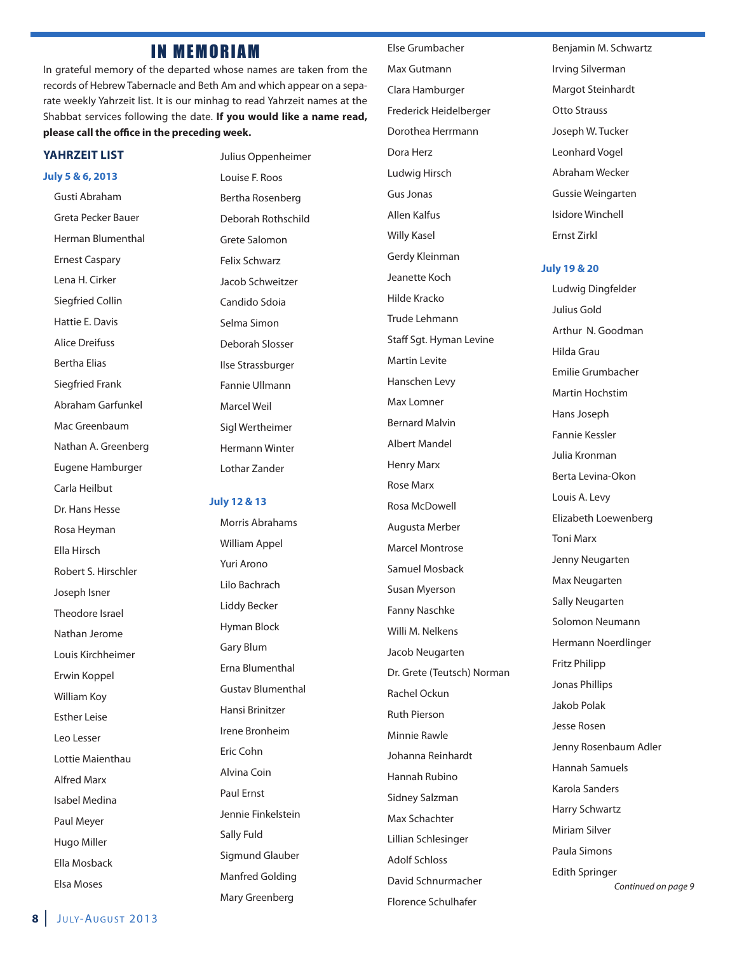### **IN MEMORIAM**

In grateful memory of the departed whose names are taken from the records of Hebrew Tabernacle and Beth Am and which appear on a separate weekly Yahrzeit list. It is our minhag to read Yahrzeit names at the Shabbat services following the date. **If you would like a name read,** please call the office in the preceding week.

#### **YAHRZEIT LIST**

**July 5 & 6, 2013**

Gusti Abraham Greta Pecker Bauer Herman Blumenthal Ernest Caspary Lena H. Cirker Siegfried Collin Hattie E. Davis Alice Dreifuss Bertha Elias Siegfried Frank Abraham Garfunkel Mac Greenbaum Nathan A. Greenberg Eugene Hamburger Carla Heilbut Dr. Hans Hesse Rosa Heyman Ella Hirsch Robert S. Hirschler Joseph Isner Theodore Israel Nathan Jerome Louis Kirchheimer Erwin Koppel William Koy Esther Leise Leo Lesser Lottie Maienthau Alfred Marx Isabel Medina Paul Meyer Hugo Miller Ella Mosback Elsa Moses

Julius Oppenheimer Louise F. Roos Bertha Rosenberg Deborah Rothschild Grete Salomon Felix Schwarz Jacob Schweitzer Candido Sdoia Selma Simon Deborah Slosser Ilse Strassburger Fannie Ullmann Marcel Weil Sigl Wertheimer Hermann Winter Lothar Zander

#### **July 12 & 13**

Morris Abrahams William Appel Yuri Arono Lilo Bachrach Liddy Becker Hyman Block Gary Blum Erna Blumenthal Gustav Blumenthal Hansi Brinitzer Irene Bronheim Eric Cohn Alvina Coin Paul Ernst Jennie Finkelstein Sally Fuld Sigmund Glauber Manfred Golding Mary Greenberg

Else Grumbacher Max Gutmann Clara Hamburger Frederick Heidelberger Dorothea Herrmann Dora Herz Ludwig Hirsch Gus Jonas Allen Kalfus Willy Kasel Gerdy Kleinman Jeanette Koch Hilde Kracko Trude Lehmann Staff Sgt. Hyman Levine Martin Levite Hanschen Levy Max Lomner Bernard Malvin Albert Mandel Henry Marx Rose Marx Rosa McDowell Augusta Merber Marcel Montrose Samuel Mosback Susan Myerson Fanny Naschke Willi M. Nelkens Jacob Neugarten Dr. Grete (Teutsch) Norman Rachel Ockun Ruth Pierson Minnie Rawle Johanna Reinhardt Hannah Rubino Sidney Salzman Max Schachter Lillian Schlesinger Adolf Schloss David Schnurmacher Florence Schulhafer

Benjamin M. Schwartz Irving Silverman Margot Steinhardt Otto Strauss Joseph W. Tucker Leonhard Vogel Abraham Wecker Gussie Weingarten Isidore Winchell Ernst Zirkl

#### **July 19 & 20**

Ludwig Dingfelder Julius Gold Arthur N. Goodman Hilda Grau Emilie Grumbacher Martin Hochstim Hans Joseph Fannie Kessler Julia Kronman Berta Levina-Okon Louis A. Levy Elizabeth Loewenberg Toni Marx Jenny Neugarten Max Neugarten Sally Neugarten Solomon Neumann Hermann Noerdlinger Fritz Philipp Jonas Phillips Jakob Polak Jesse Rosen Jenny Rosenbaum Adler Hannah Samuels Karola Sanders Harry Schwartz Miriam Silver Paula Simons Edith Springer

Continued on page 9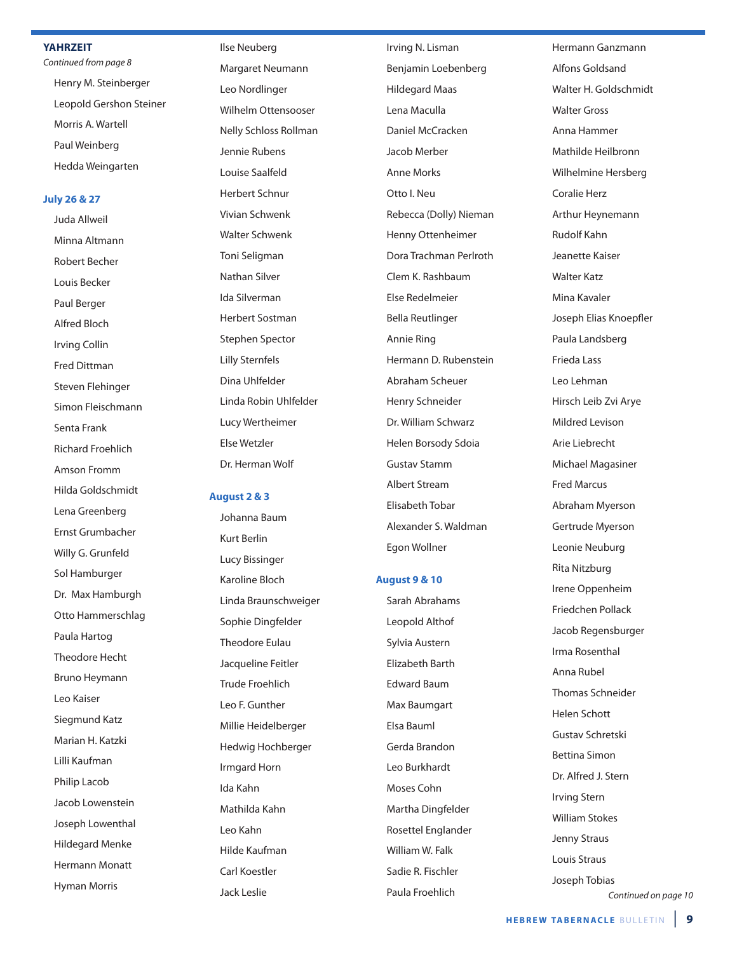#### **YAHRZEIT**

Continued from page 8 Henry M. Steinberger Leopold Gershon Steiner Morris A. Wartell Paul Weinberg Hedda Weingarten

#### **July 26 & 27**

Juda Allweil Minna Altmann Robert Becher Louis Becker Paul Berger Alfred Bloch Irving Collin Fred Dittman Steven Flehinger Simon Fleischmann Senta Frank Richard Froehlich Amson Fromm Hilda Goldschmidt Lena Greenberg Ernst Grumbacher Willy G. Grunfeld Sol Hamburger Dr. Max Hamburgh Otto Hammerschlag Paula Hartog Theodore Hecht Bruno Heymann Leo Kaiser Siegmund Katz Marian H. Katzki Lilli Kaufman Philip Lacob Jacob Lowenstein Joseph Lowenthal Hildegard Menke Hermann Monatt Hyman Morris

Ilse Neuberg Margaret Neumann Leo Nordlinger Wilhelm Ottensooser Nelly Schloss Rollman Jennie Rubens Louise Saalfeld Herbert Schnur Vivian Schwenk Walter Schwenk Toni Seligman Nathan Silver Ida Silverman Herbert Sostman Stephen Spector Lilly Sternfels Dina Uhlfelder Linda Robin Uhlfelder Lucy Wertheimer Else Wetzler Dr. Herman Wolf

#### **August 2 & 3**

Johanna Baum Kurt Berlin Lucy Bissinger Karoline Bloch Linda Braunschweiger Sophie Dingfelder Theodore Eulau Jacqueline Feitler Trude Froehlich Leo F. Gunther Millie Heidelberger Hedwig Hochberger Irmgard Horn Ida Kahn Mathilda Kahn Leo Kahn Hilde Kaufman Carl Koestler Jack Leslie

Irving N. Lisman Benjamin Loebenberg Hildegard Maas Lena Maculla Daniel McCracken Jacob Merber Anne Morks Otto I. Neu Rebecca (Dolly) Nieman Henny Ottenheimer Dora Trachman Perlroth Clem K. Rashbaum Else Redelmeier Bella Reutlinger Annie Ring Hermann D. Rubenstein Abraham Scheuer Henry Schneider Dr. William Schwarz Helen Borsody Sdoia Gustav Stamm Albert Stream Elisabeth Tobar Alexander S. Waldman Egon Wollner

#### **August 9 & 10**

Sarah Abrahams Leopold Althof Sylvia Austern Elizabeth Barth Edward Baum Max Baumgart Elsa Bauml Gerda Brandon Leo Burkhardt Moses Cohn Martha Dingfelder Rosettel Englander William W. Falk Sadie R. Fischler Paula Froehlich

Hermann Ganzmann Alfons Goldsand Walter H. Goldschmidt Walter Gross Anna Hammer Mathilde Heilbronn Wilhelmine Hersberg Coralie Herz Arthur Heynemann Rudolf Kahn Jeanette Kaiser Walter Katz Mina Kavaler Joseph Elias Knoepfler Paula Landsberg Frieda Lass Leo Lehman Hirsch Leib Zvi Arye Mildred Levison Arie Liebrecht Michael Magasiner Fred Marcus Abraham Myerson Gertrude Myerson Leonie Neuburg Rita Nitzburg Irene Oppenheim Friedchen Pollack Jacob Regensburger Irma Rosenthal Anna Rubel Thomas Schneider Helen Schott Gustav Schretski Bettina Simon Dr. Alfred J. Stern Irving Stern William Stokes Jenny Straus Louis Straus Joseph Tobias

Continued on page 10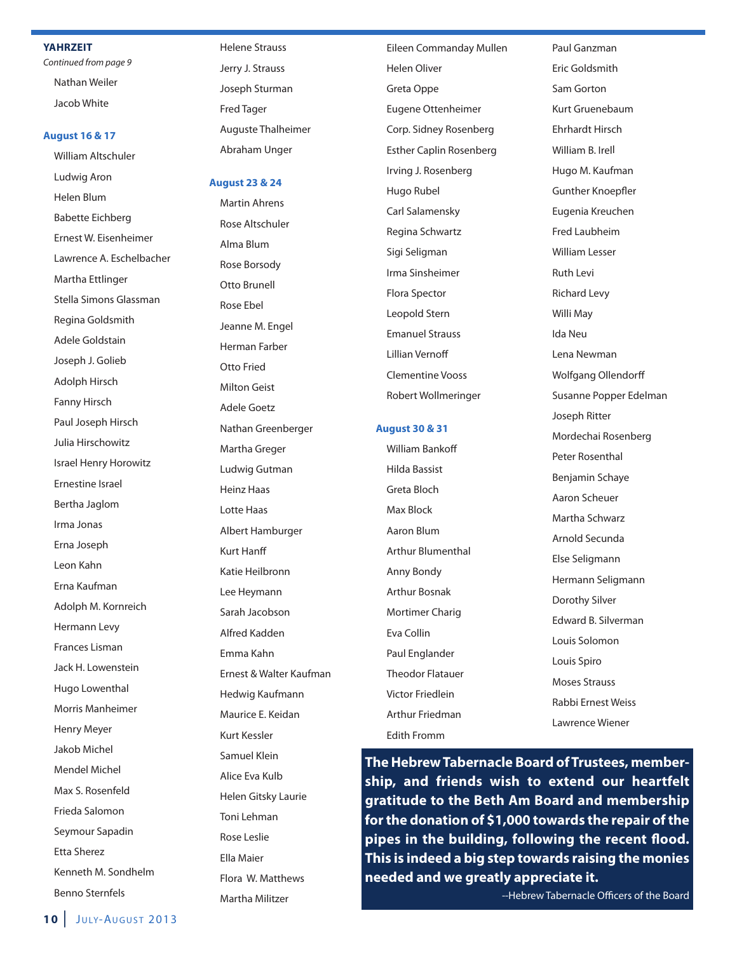#### **YAHRZEIT**

Continued from page 9

Nathan Weiler Jacob White

#### **August 16 & 17**

William Altschuler Ludwig Aron Helen Blum Babette Eichberg Ernest W. Eisenheimer Lawrence A. Eschelbacher Martha Ettlinger Stella Simons Glassman Regina Goldsmith Adele Goldstain Joseph J. Golieb Adolph Hirsch Fanny Hirsch Paul Joseph Hirsch Julia Hirschowitz Israel Henry Horowitz Ernestine Israel Bertha Jaglom Irma Jonas Erna Joseph Leon Kahn Erna Kaufman Adolph M. Kornreich Hermann Levy Frances Lisman Jack H. Lowenstein Hugo Lowenthal Morris Manheimer Henry Meyer Jakob Michel Mendel Michel Max S. Rosenfeld Frieda Salomon Seymour Sapadin Etta Sherez Kenneth M. Sondhelm Benno Sternfels

Helene Strauss Jerry J. Strauss Joseph Sturman Fred Tager Auguste Thalheimer Abraham Unger

#### **August 23 & 24**

Martin Ahrens Rose Altschuler Alma Blum Rose Borsody Otto Brunell Rose Ebel Jeanne M. Engel Herman Farber Otto Fried Milton Geist Adele Goetz Nathan Greenberger Martha Greger Ludwig Gutman Heinz Haas Lotte Haas Albert Hamburger **Kurt Hanff** Katie Heilbronn Lee Heymann Sarah Jacobson Alfred Kadden Emma Kahn Ernest & Walter Kaufman Hedwig Kaufmann Maurice E. Keidan Kurt Kessler Samuel Klein Alice Eva Kulb Helen Gitsky Laurie Toni Lehman Rose Leslie Ella Maier Flora W. Matthews

Martha Militzer

Eileen Commanday Mullen Helen Oliver Greta Oppe Eugene Ottenheimer Corp. Sidney Rosenberg Esther Caplin Rosenberg Irving J. Rosenberg Hugo Rubel Carl Salamensky Regina Schwartz Sigi Seligman Irma Sinsheimer Flora Spector Leopold Stern Emanuel Strauss **Lillian Vernoff** Clementine Vooss Robert Wollmeringer

#### **August 30 & 31**

William Bankoff Hilda Bassist Greta Bloch Max Block Aaron Blum Arthur Blumenthal Anny Bondy Arthur Bosnak Mortimer Charig Eva Collin Paul Englander Theodor Flatauer Victor Friedlein Arthur Friedman Edith Fromm

Paul Ganzman Eric Goldsmith Sam Gorton Kurt Gruenebaum Ehrhardt Hirsch William B. Irell Hugo M. Kaufman **Gunther Knoepfler** Eugenia Kreuchen Fred Laubheim William Lesser Ruth Levi Richard Levy Willi May Ida Neu Lena Newman Wolfgang Ollendorff Susanne Popper Edelman Joseph Ritter Mordechai Rosenberg Peter Rosenthal Benjamin Schaye Aaron Scheuer Martha Schwarz Arnold Secunda Else Seligmann Hermann Seligmann Dorothy Silver Edward B. Silverman Louis Solomon Louis Spiro Moses Strauss Rabbi Ernest Weiss Lawrence Wiener

**The Hebrew Tabernacle Board of Trustees, membership, and friends wish to extend our heartfelt gratitude to the Beth Am Board and membership for the donation of \$1,000 towards the repair of the pipes in the building, following the recent Hood. This is indeed a big step towards raising the monies needed and we greatly appreciate it.**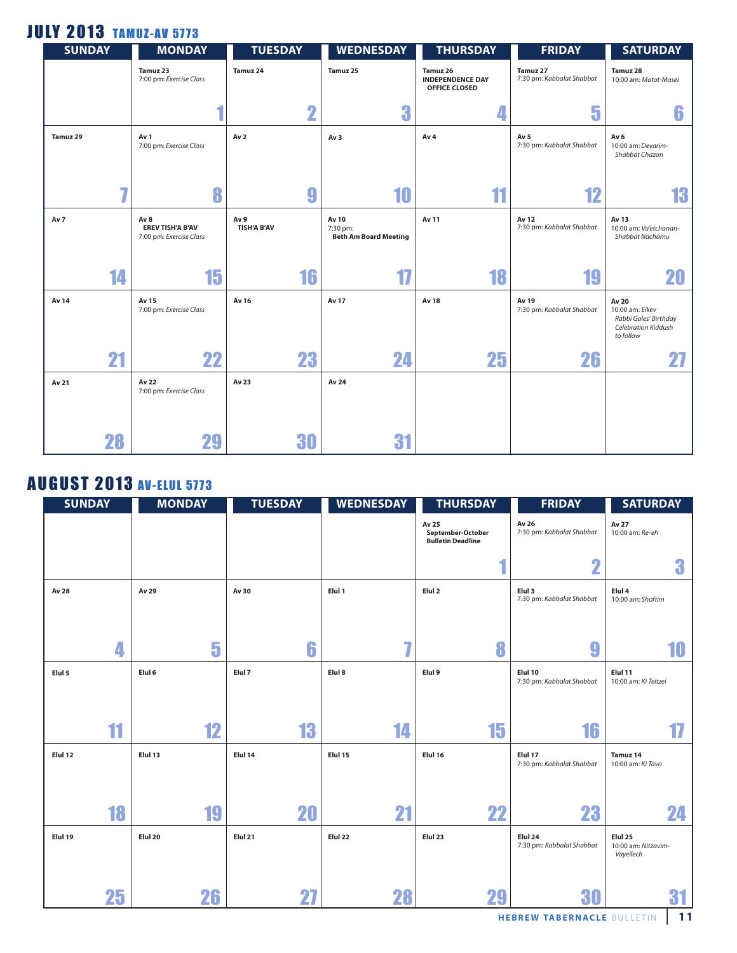### **JULY 2013 TAMUZ-AV 5773**

| <b>SUNDAY</b> |     | <b>MONDAY</b>                                                         | <b>TUESDAY</b>             | <b>WEDNESDAY</b>                                  | <b>THURSDAY</b>                                             | <b>FRIDAY</b>                                | <b>SATURDAY</b>                                                                       |
|---------------|-----|-----------------------------------------------------------------------|----------------------------|---------------------------------------------------|-------------------------------------------------------------|----------------------------------------------|---------------------------------------------------------------------------------------|
|               |     | Tamuz 23<br>7:00 pm: Exercise Class                                   | Tamuz 24                   | Tamuz 25                                          | Tamuz 26<br><b>INDEPENDENCE DAY</b><br><b>OFFICE CLOSED</b> | Tamuz 27<br>7:30 pm: Kabbalat Shabbat        | Tamuz 28<br>10:00 am: Matot-Masei                                                     |
|               |     |                                                                       | $\overline{\mathbf{2}}$    | 3                                                 | $\overline{\mathbf{A}}$                                     | 5                                            | 6                                                                                     |
| Tamuz 29      |     | Av 1<br>7:00 pm: Exercise Class                                       | Av <sub>2</sub>            | Av <sub>3</sub>                                   | Av <sub>4</sub>                                             | Av <sub>5</sub><br>7:30 pm: Kabbalat Shabbat | Av <sub>6</sub><br>10:00 am: Devarim-<br>Shabbat Chazon                               |
|               | ا ب | 8                                                                     | 9                          | 10                                                | 11                                                          | 12                                           | 13                                                                                    |
| Av 7          |     | Av <sub>8</sub><br><b>EREV TISH'A B'AV</b><br>7:00 pm: Exercise Class | Av 9<br><b>TISH'A B'AV</b> | Av 10<br>7:30 pm:<br><b>Beth Am Board Meeting</b> | Av 11                                                       | Av 12<br>7:30 pm: Kabbalat Shabbat           | Av 13<br>10:00 am: Va'etchanan-<br>Shabbat Nachamu                                    |
|               | 14  | 15                                                                    | 16                         | 17                                                | 18                                                          | 19                                           | 20                                                                                    |
| Av 14         |     | Av 15<br>7:00 pm: Exercise Class                                      | Av 16                      | Av 17                                             | Av 18                                                       | Av 19<br>7:30 pm: Kabbalat Shabbat           | Av 20<br>10:00 am: Eikev<br>Rabbi Gales' Birthday<br>Celebration Kiddush<br>to follow |
|               | 21  | 22                                                                    | 23                         | 24                                                | 25                                                          | 26                                           |                                                                                       |
| Av 21         |     | Av 22<br>7:00 pm: Exercise Class                                      | Av 23                      | Av 24                                             |                                                             |                                              |                                                                                       |
|               | 28  | 29                                                                    | 30                         | 31                                                |                                                             |                                              |                                                                                       |

### **AUGUST 2013 AV-ELUL 5773**

| <b>SUNDAY</b> |    | <b>MONDAY</b> |    | <b>TUESDAY</b> | <b>WEDNESDAY</b> | <b>THURSDAY</b>                                        | <b>FRIDAY</b>                        | <b>SATURDAY</b>                                        |
|---------------|----|---------------|----|----------------|------------------|--------------------------------------------------------|--------------------------------------|--------------------------------------------------------|
|               |    |               |    |                |                  | Av 25<br>September-October<br><b>Bulletin Deadline</b> | Av 26<br>7:30 pm: Kabbalat Shabbat   | Av 27<br>10:00 am: Re-eh                               |
|               |    |               |    |                |                  |                                                        | $\mathbf 2$                          | 3                                                      |
| Av 28         |    | Av 29         |    | Av 30          | Elul 1           | Elul <sub>2</sub>                                      | Elul 3<br>7:30 pm: Kabbalat Shabbat  | Elul 4<br>10:00 am: Shoftim                            |
|               | 4  |               | 5  | 6              | 77               | 8                                                      | 9                                    | 10                                                     |
| Elul 5        |    | Elul 6        |    | Elul 7         | Elul 8           | Elul 9                                                 | Elul 10<br>7:30 pm: Kabbalat Shabbat | Elul 11<br>10:00 am: Ki Teitzei                        |
|               |    |               |    |                |                  |                                                        |                                      |                                                        |
|               | 11 |               | 12 | 13             | 14               | 15                                                     | 16                                   | T.                                                     |
| Elul 12       |    | Elul 13       |    | Elul 14        | Elul 15          | Elul 16                                                | Elul 17<br>7:30 pm: Kabbalat Shabbat | Tamuz 14<br>10:00 am: Ki Tavo                          |
|               | 18 |               | 19 | 20             | 21               | 22                                                     | 23                                   | 24                                                     |
| Elul 19       |    | Elul 20       |    | Elul 21        | Elul 22          | Elul 23                                                | Elul 24<br>7:30 pm: Kabbalat Shabbat | Elul <sub>25</sub><br>10:00 am: Nitzavim-<br>Vayeilech |
|               | 25 |               | 26 | 27             | 28               | 29                                                     | 30                                   | 31                                                     |